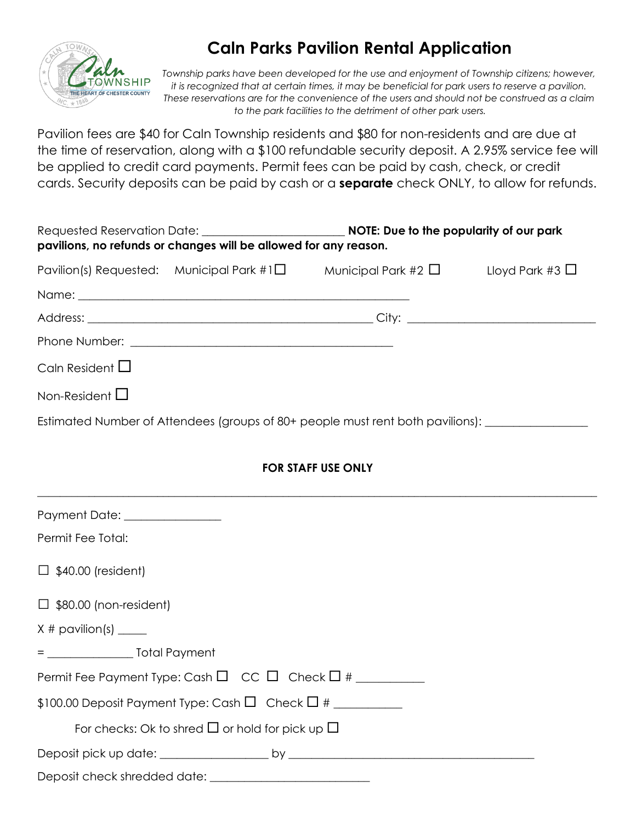

## **Caln Parks Pavilion Rental Application**

Township parks have been developed for the use and enjoyment of Township citizens; however, *it is recognized that at certain times, it may be beneficial for park users to reserve a pavilion. These reservations are for the convenience of the users and should not be construed as a claim to the park facilities to the detriment of other park users.* 

Pavilion fees are \$40 for Caln Township residents and \$80 for non-residents and are due at the time of reservation, along with a \$100 refundable security deposit. A 2.95% service fee will be applied to credit card payments. Permit fees can be paid by cash, check, or credit cards. Security deposits can be paid by cash or a **separate** check ONLY, to allow for refunds.

|                                | pavilions, no refunds or changes will be allowed for any reason.                                                                                                                                                                     |                                                                                                        |  |  |
|--------------------------------|--------------------------------------------------------------------------------------------------------------------------------------------------------------------------------------------------------------------------------------|--------------------------------------------------------------------------------------------------------|--|--|
|                                |                                                                                                                                                                                                                                      | Pavilion(s) Requested: Municipal Park #1 $\square$ Municipal Park #2 $\square$ Lloyd Park #3 $\square$ |  |  |
|                                | Name: <u>2000 - 2000 - 2000 - 2000 - 2000 - 2000 - 2000 - 2000 - 2000 - 2000 - 2000 - 2000 - 2000 - 2000 - 2000 - 2000 - 2000 - 2000 - 2000 - 2000 - 2000 - 2000 - 2000 - 2000 - 2000 - 2000 - 2000 - 2000 - 2000 - 2000 - 2000 </u> |                                                                                                        |  |  |
|                                |                                                                                                                                                                                                                                      |                                                                                                        |  |  |
|                                |                                                                                                                                                                                                                                      |                                                                                                        |  |  |
| Caln Resident $\Box$           |                                                                                                                                                                                                                                      |                                                                                                        |  |  |
| Non-Resident $\Box$            |                                                                                                                                                                                                                                      |                                                                                                        |  |  |
|                                |                                                                                                                                                                                                                                      | Estimated Number of Attendees (groups of 80+ people must rent both pavilions): ____________________    |  |  |
|                                |                                                                                                                                                                                                                                      |                                                                                                        |  |  |
|                                |                                                                                                                                                                                                                                      | <b>FOR STAFF USE ONLY</b>                                                                              |  |  |
| Payment Date: ________________ |                                                                                                                                                                                                                                      |                                                                                                        |  |  |
| Permit Fee Total:              |                                                                                                                                                                                                                                      |                                                                                                        |  |  |
| $\Box$ \$40.00 (resident)      |                                                                                                                                                                                                                                      |                                                                                                        |  |  |
| $\Box$ \$80.00 (non-resident)  |                                                                                                                                                                                                                                      |                                                                                                        |  |  |
| $X \#$ pavilion(s) ______      |                                                                                                                                                                                                                                      |                                                                                                        |  |  |
|                                |                                                                                                                                                                                                                                      |                                                                                                        |  |  |
|                                | Permit Fee Payment Type: Cash $\Box$ CC $\Box$ Check $\Box$ # __________                                                                                                                                                             |                                                                                                        |  |  |
|                                | $$100.00$ Deposit Payment Type: Cash $\Box$ Check $\Box$ # ___________                                                                                                                                                               |                                                                                                        |  |  |
|                                | For checks: Ok to shred $\Box$ or hold for pick up $\Box$                                                                                                                                                                            |                                                                                                        |  |  |
|                                |                                                                                                                                                                                                                                      |                                                                                                        |  |  |
|                                |                                                                                                                                                                                                                                      |                                                                                                        |  |  |